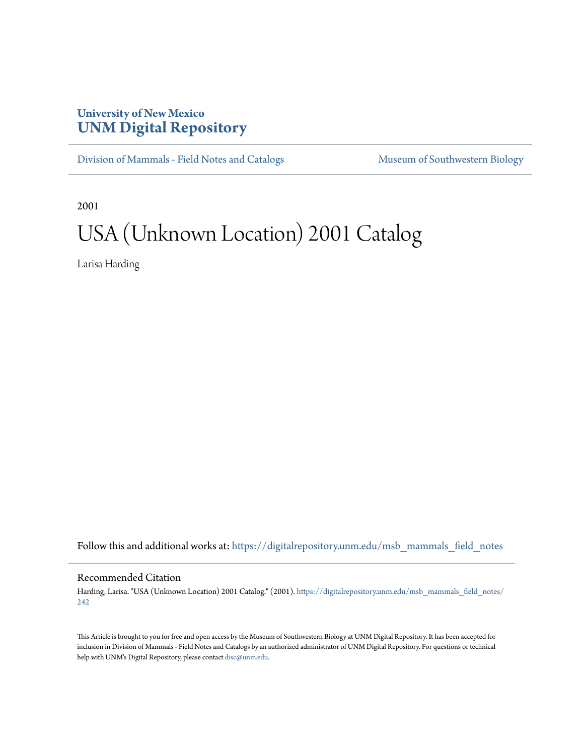## **University of New Mexico [UNM Digital Repository](https://digitalrepository.unm.edu?utm_source=digitalrepository.unm.edu%2Fmsb_mammals_field_notes%2F242&utm_medium=PDF&utm_campaign=PDFCoverPages)**

[Division of Mammals - Field Notes and Catalogs](https://digitalrepository.unm.edu/msb_mammals_field_notes?utm_source=digitalrepository.unm.edu%2Fmsb_mammals_field_notes%2F242&utm_medium=PDF&utm_campaign=PDFCoverPages) [Museum of Southwestern Biology](https://digitalrepository.unm.edu/msb?utm_source=digitalrepository.unm.edu%2Fmsb_mammals_field_notes%2F242&utm_medium=PDF&utm_campaign=PDFCoverPages)

2001

## USA (Unknown Location) 2001 Catalog

Larisa Harding

Follow this and additional works at: [https://digitalrepository.unm.edu/msb\\_mammals\\_field\\_notes](https://digitalrepository.unm.edu/msb_mammals_field_notes?utm_source=digitalrepository.unm.edu%2Fmsb_mammals_field_notes%2F242&utm_medium=PDF&utm_campaign=PDFCoverPages)

## Recommended Citation

Harding, Larisa. "USA (Unknown Location) 2001 Catalog." (2001). [https://digitalrepository.unm.edu/msb\\_mammals\\_field\\_notes/](https://digitalrepository.unm.edu/msb_mammals_field_notes/242?utm_source=digitalrepository.unm.edu%2Fmsb_mammals_field_notes%2F242&utm_medium=PDF&utm_campaign=PDFCoverPages) [242](https://digitalrepository.unm.edu/msb_mammals_field_notes/242?utm_source=digitalrepository.unm.edu%2Fmsb_mammals_field_notes%2F242&utm_medium=PDF&utm_campaign=PDFCoverPages)

This Article is brought to you for free and open access by the Museum of Southwestern Biology at UNM Digital Repository. It has been accepted for inclusion in Division of Mammals - Field Notes and Catalogs by an authorized administrator of UNM Digital Repository. For questions or technical help with UNM's Digital Repository, please contact [disc@unm.edu](mailto:disc@unm.edu).